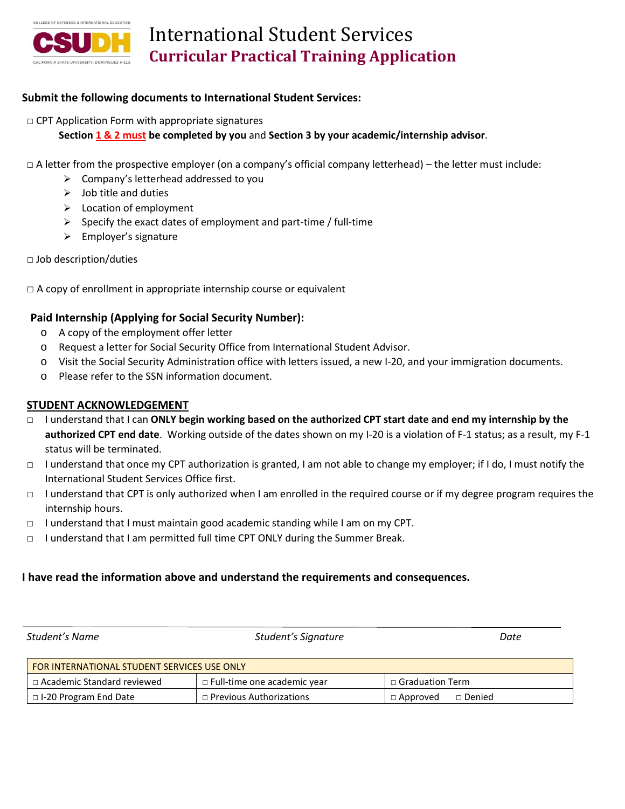

### **Submit the following documents to International Student Services:**

- $\Box$  CPT Application Form with appropriate signatures **Section 1 & 2 must be completed by you** and **Section 3 by your academic/internship advisor**.
- $\Box$  A letter from the prospective employer (on a company's official company letterhead) the letter must include:
	- $\triangleright$  Company's letterhead addressed to you
	- $\triangleright$  Job title and duties
	- $\triangleright$  Location of employment
	- $\triangleright$  Specify the exact dates of employment and part-time / full-time
	- $\triangleright$  Employer's signature
- □ Job description/duties
- $\square$  A copy of enrollment in appropriate internship course or equivalent

## **Paid Internship (Applying for Social Security Number):**

- o A copy of the employment offer letter
- o Request a letter for Social Security Office from International Student Advisor.
- o Visit the Social Security Administration office with letters issued, a new I-20, and your immigration documents.
- o Please refer to the SSN information document.

## **STUDENT ACKNOWLEDGEMENT**

- □ I understand that I can **ONLY begin working based on the authorized CPT start date and end my internship by the authorized CPT end date**. Working outside of the dates shown on my I-20 is a violation of F-1 status; as a result, my F-1 status will be terminated.
- □ I understand that once my CPT authorization is granted, I am not able to change my employer; if I do, I must notify the International Student Services Office first.
- □ I understand that CPT is only authorized when I am enrolled in the required course or if my degree program requires the internship hours.
- $\Box$  I understand that I must maintain good academic standing while I am on my CPT.
- □ I understand that I am permitted full time CPT ONLY during the Summer Break.

# **I have read the information above and understand the requirements and consequences.**

*Student's Name Student's Signature Date* FOR INTERNATIONAL STUDENT SERVICES USE ONLY □ Academic Standard reviewed □ Full-time one academic year □ Graduation Term □ I-20 Program End Date □ Previous Authorizations □ Approved □ Denied